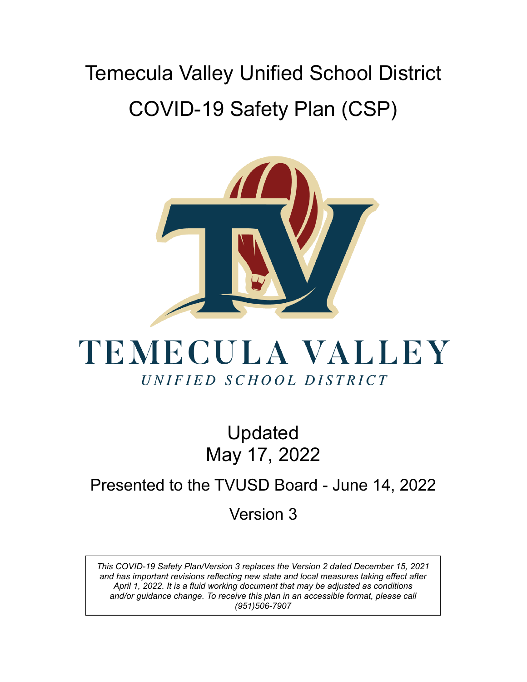# Temecula Valley Unified School District COVID-19 Safety Plan (CSP)



# TEMECULA VALLEY UNIFIED SCHOOL DISTRICT

Updated May 17, 2022

# Presented to the TVUSD Board - June 14, 2022 Version 3

*This COVID-19 Safety Plan/Version 3 replaces the Version 2 dated December 15, 2021 and has important revisions reflecting new state and local measures taking effect after April 1, 2022. It is a fluid working document that may be adjusted as conditions and/or guidance change. To receive this plan in an accessible format, please call (951)506-7907*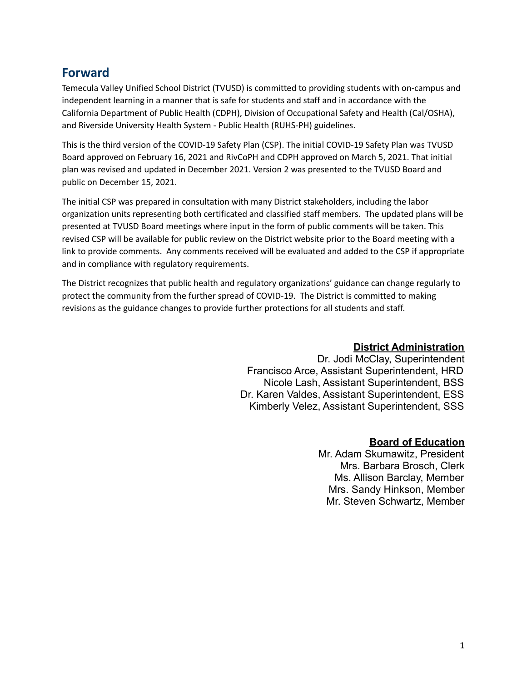## **Forward**

Temecula Valley Unified School District (TVUSD) is committed to providing students with on-campus and independent learning in a manner that is safe for students and staff and in accordance with the California Department of Public Health (CDPH), Division of Occupational Safety and Health (Cal/OSHA), and Riverside University Health System - Public Health (RUHS-PH) guidelines.

This is the third version of the COVID-19 Safety Plan (CSP). The initial COVID-19 Safety Plan was TVUSD Board approved on February 16, 2021 and RivCoPH and CDPH approved on March 5, 2021. That initial plan was revised and updated in December 2021. Version 2 was presented to the TVUSD Board and public on December 15, 2021.

The initial CSP was prepared in consultation with many District stakeholders, including the labor organization units representing both certificated and classified staff members. The updated plans will be presented at TVUSD Board meetings where input in the form of public comments will be taken. This revised CSP will be available for public review on the District website prior to the Board meeting with a link to provide comments. Any comments received will be evaluated and added to the CSP if appropriate and in compliance with regulatory requirements.

The District recognizes that public health and regulatory organizations' guidance can change regularly to protect the community from the further spread of COVID-19. The District is committed to making revisions as the guidance changes to provide further protections for all students and staff.

#### **District Administration**

Dr. Jodi McClay, Superintendent Francisco Arce, Assistant Superintendent, HRD Nicole Lash, Assistant Superintendent, BSS Dr. Karen Valdes, Assistant Superintendent, ESS Kimberly Velez, Assistant Superintendent, SSS

#### **Board of Education**

Mr. Adam Skumawitz, President Mrs. Barbara Brosch, Clerk Ms. Allison Barclay, Member Mrs. Sandy Hinkson, Member Mr. Steven Schwartz, Member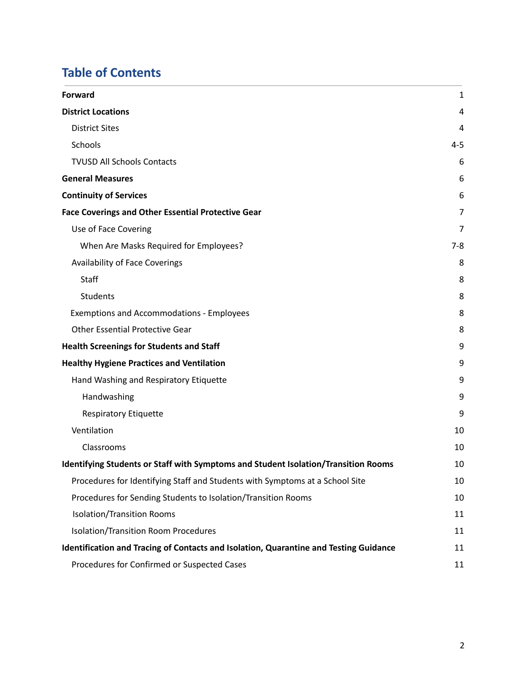# **Table of Contents**

| <b>Forward</b>                                                                        | 1       |
|---------------------------------------------------------------------------------------|---------|
| <b>District Locations</b>                                                             | 4       |
| <b>District Sites</b>                                                                 | 4       |
| Schools                                                                               | $4 - 5$ |
| <b>TVUSD All Schools Contacts</b>                                                     | 6       |
| <b>General Measures</b>                                                               | 6       |
| <b>Continuity of Services</b>                                                         | 6       |
| <b>Face Coverings and Other Essential Protective Gear</b>                             | 7       |
| Use of Face Covering                                                                  | 7       |
| When Are Masks Required for Employees?                                                | $7 - 8$ |
| Availability of Face Coverings                                                        | 8       |
| Staff                                                                                 | 8       |
| <b>Students</b>                                                                       | 8       |
| <b>Exemptions and Accommodations - Employees</b>                                      | 8       |
| <b>Other Essential Protective Gear</b>                                                | 8       |
| <b>Health Screenings for Students and Staff</b>                                       | 9       |
| <b>Healthy Hygiene Practices and Ventilation</b>                                      | 9       |
| Hand Washing and Respiratory Etiquette                                                | 9       |
| Handwashing                                                                           | 9       |
| <b>Respiratory Etiquette</b>                                                          | 9       |
| Ventilation                                                                           | 10      |
| Classrooms                                                                            | 10      |
| Identifying Students or Staff with Symptoms and Student Isolation/Transition Rooms    | 10      |
| Procedures for Identifying Staff and Students with Symptoms at a School Site          | 10      |
| Procedures for Sending Students to Isolation/Transition Rooms                         | 10      |
| <b>Isolation/Transition Rooms</b>                                                     | 11      |
| Isolation/Transition Room Procedures                                                  | 11      |
| Identification and Tracing of Contacts and Isolation, Quarantine and Testing Guidance | 11      |
| Procedures for Confirmed or Suspected Cases                                           | 11      |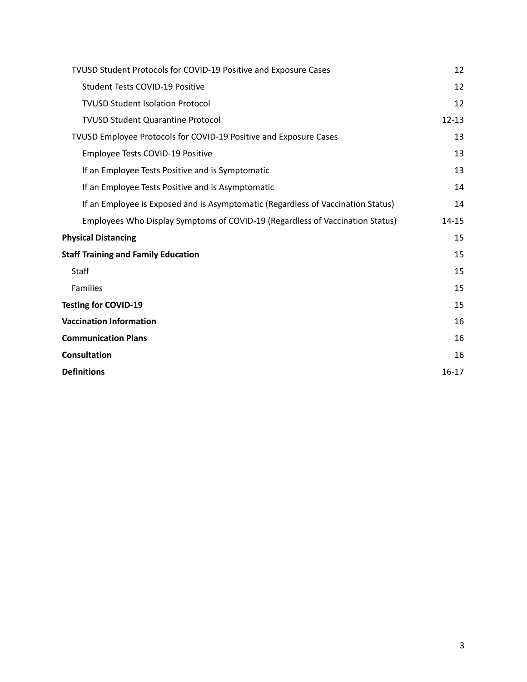| TVUSD Student Protocols for COVID-19 Positive and Exposure Cases                 | 12        |
|----------------------------------------------------------------------------------|-----------|
| Student Tests COVID-19 Positive                                                  | 12        |
| <b>TVUSD Student Isolation Protocol</b>                                          | 12        |
| <b>TVUSD Student Quarantine Protocol</b>                                         | $12 - 13$ |
| TVUSD Employee Protocols for COVID-19 Positive and Exposure Cases                | 13        |
| Employee Tests COVID-19 Positive                                                 | 13        |
| If an Employee Tests Positive and is Symptomatic                                 | 13        |
| If an Employee Tests Positive and is Asymptomatic                                | 14        |
| If an Employee is Exposed and is Asymptomatic (Regardless of Vaccination Status) | 14        |
| Employees Who Display Symptoms of COVID-19 (Regardless of Vaccination Status)    | $14 - 15$ |
| <b>Physical Distancing</b>                                                       | 15        |
| <b>Staff Training and Family Education</b>                                       | 15        |
| <b>Staff</b>                                                                     | 15        |
| Families                                                                         | 15        |
| <b>Testing for COVID-19</b>                                                      | 15        |
| <b>Vaccination Information</b>                                                   | 16        |
| <b>Communication Plans</b>                                                       | 16        |
| <b>Consultation</b>                                                              | 16        |
| <b>Definitions</b>                                                               | $16-17$   |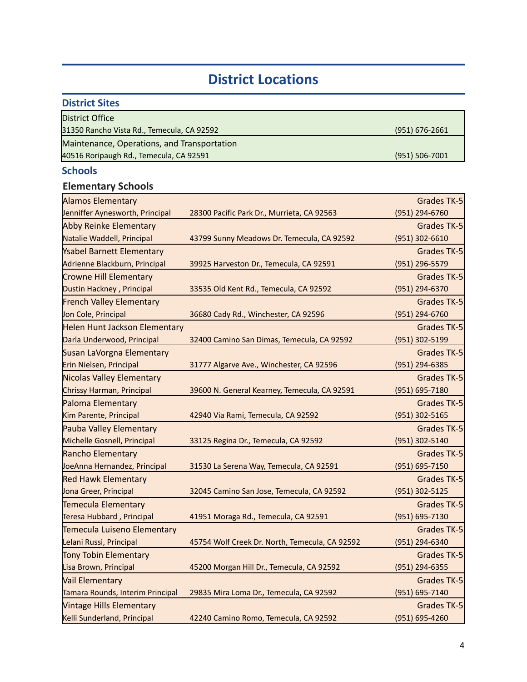# **District Locations**

<span id="page-4-0"></span>

| <b>District Sites</b>                       |                    |
|---------------------------------------------|--------------------|
| District Office                             |                    |
| 31350 Rancho Vista Rd., Temecula, CA 92592  | $(951) 676 - 2661$ |
| Maintenance, Operations, and Transportation |                    |
| 40516 Roripaugh Rd., Temecula, CA 92591     | $(951) 506 - 7001$ |

## <span id="page-4-1"></span>**Schools**

## **Elementary Schools**

| <b>Alamos Elementary</b>             |                                                | <b>Grades TK-5</b> |
|--------------------------------------|------------------------------------------------|--------------------|
| Jenniffer Aynesworth, Principal      | 28300 Pacific Park Dr., Murrieta, CA 92563     | (951) 294-6760     |
| <b>Abby Reinke Elementary</b>        |                                                | <b>Grades TK-5</b> |
| Natalie Waddell, Principal           | 43799 Sunny Meadows Dr. Temecula, CA 92592     | (951) 302-6610     |
| <b>Ysabel Barnett Elementary</b>     |                                                | <b>Grades TK-5</b> |
| Adrienne Blackburn, Principal        | 39925 Harveston Dr., Temecula, CA 92591        | (951) 296-5579     |
| <b>Crowne Hill Elementary</b>        |                                                | <b>Grades TK-5</b> |
| Dustin Hackney, Principal            | 33535 Old Kent Rd., Temecula, CA 92592         | (951) 294-6370     |
| <b>French Valley Elementary</b>      |                                                | Grades TK-5        |
| Jon Cole, Principal                  | 36680 Cady Rd., Winchester, CA 92596           | (951) 294-6760     |
| <b>Helen Hunt Jackson Elementary</b> |                                                | <b>Grades TK-5</b> |
| Darla Underwood, Principal           | 32400 Camino San Dimas, Temecula, CA 92592     | (951) 302-5199     |
| Susan LaVorgna Elementary            |                                                | <b>Grades TK-5</b> |
| Erin Nielsen, Principal              | 31777 Algarve Ave., Winchester, CA 92596       | (951) 294-6385     |
| Nicolas Valley Elementary            |                                                | <b>Grades TK-5</b> |
| Chrissy Harman, Principal            | 39600 N. General Kearney, Temecula, CA 92591   | (951) 695-7180     |
| Paloma Elementary                    |                                                | Grades TK-5        |
| Kim Parente, Principal               | 42940 Via Rami, Temecula, CA 92592             | (951) 302-5165     |
| Pauba Valley Elementary              |                                                | <b>Grades TK-5</b> |
| Michelle Gosnell, Principal          | 33125 Regina Dr., Temecula, CA 92592           | (951) 302-5140     |
| <b>Rancho Elementary</b>             |                                                | <b>Grades TK-5</b> |
| JoeAnna Hernandez, Principal         | 31530 La Serena Way, Temecula, CA 92591        | (951) 695-7150     |
| <b>Red Hawk Elementary</b>           |                                                | <b>Grades TK-5</b> |
| Jona Greer, Principal                | 32045 Camino San Jose, Temecula, CA 92592      | (951) 302-5125     |
| Temecula Elementary                  |                                                | <b>Grades TK-5</b> |
| Teresa Hubbard, Principal            | 41951 Moraga Rd., Temecula, CA 92591           | (951) 695-7130     |
| Temecula Luiseno Elementary          |                                                | Grades TK-5        |
| Lelani Russi, Principal              | 45754 Wolf Creek Dr. North, Temecula, CA 92592 | (951) 294-6340     |
| <b>Tony Tobin Elementary</b>         |                                                | <b>Grades TK-5</b> |
| Lisa Brown, Principal                | 45200 Morgan Hill Dr., Temecula, CA 92592      | (951) 294-6355     |
| <b>Vail Elementary</b>               |                                                | <b>Grades TK-5</b> |
| Tamara Rounds, Interim Principal     | 29835 Mira Loma Dr., Temecula, CA 92592        | (951) 695-7140     |
| <b>Vintage Hills Elementary</b>      |                                                | <b>Grades TK-5</b> |
| Kelli Sunderland, Principal          | 42240 Camino Romo, Temecula, CA 92592          | (951) 695-4260     |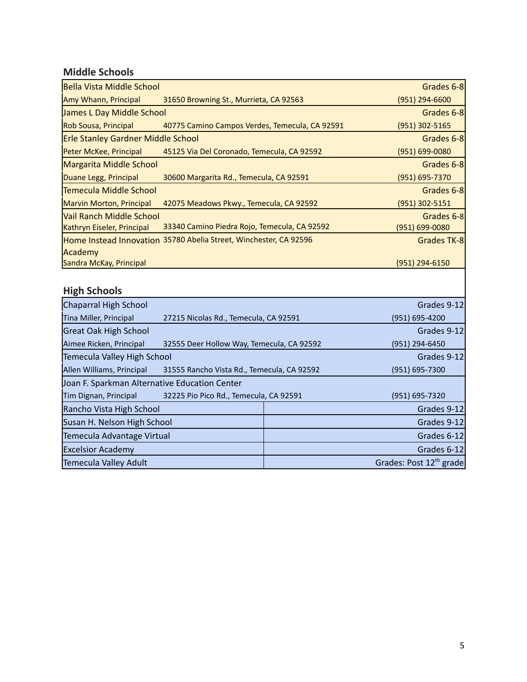## **Middle Schools**

| <b>Bella Vista Middle School</b>                       |                                                                   | Grades 6-8                       |
|--------------------------------------------------------|-------------------------------------------------------------------|----------------------------------|
| Amy Whann, Principal                                   | 31650 Browning St., Murrieta, CA 92563                            | $(951)$ 294-6600                 |
| <b>James L Day Middle School</b>                       |                                                                   | Grades 6-8                       |
| Rob Sousa, Principal                                   | 40775 Camino Campos Verdes, Temecula, CA 92591                    | $(951)$ 302-5165                 |
| <b>Erle Stanley Gardner Middle School</b>              |                                                                   | Grades 6-8                       |
| Peter McKee, Principal                                 | 45125 Via Del Coronado, Temecula, CA 92592                        | $(951) 699 - 0080$               |
| <b>Margarita Middle School</b>                         |                                                                   | Grades 6-8                       |
| Duane Legg, Principal                                  | 30600 Margarita Rd., Temecula, CA 92591                           | $(951) 695 - 7370$               |
| <b>Temecula Middle School</b>                          |                                                                   | Grades 6-8                       |
| <b>Marvin Morton, Principal</b>                        | 42075 Meadows Pkwy., Temecula, CA 92592                           | $(951)$ 302-5151                 |
| Vail Ranch Middle School<br>Kathryn Eiseler, Principal | 33340 Camino Piedra Rojo, Temecula, CA 92592                      | Grades 6-8<br>$(951) 699 - 0080$ |
|                                                        | Home Instead Innovation 35780 Abelia Street, Winchester, CA 92596 | Grades TK-8                      |
| Academy                                                |                                                                   |                                  |
| Sandra McKay, Principal                                |                                                                   | $(951)$ 294-6150                 |
|                                                        |                                                                   |                                  |

## **High Schools**

| <b>High Schools</b>                           |                                            |             |                                     |
|-----------------------------------------------|--------------------------------------------|-------------|-------------------------------------|
| <b>Chaparral High School</b>                  |                                            |             | Grades 9-12                         |
| Tina Miller, Principal                        | 27215 Nicolas Rd., Temecula, CA 92591      |             | (951) 695-4200                      |
| <b>Great Oak High School</b>                  |                                            |             | Grades 9-12                         |
| Aimee Ricken, Principal                       | 32555 Deer Hollow Way, Temecula, CA 92592  |             | (951) 294-6450                      |
| Temecula Valley High School                   |                                            | Grades 9-12 |                                     |
| Allen Williams, Principal                     | 31555 Rancho Vista Rd., Temecula, CA 92592 |             | (951) 695-7300                      |
| Joan F. Sparkman Alternative Education Center |                                            |             |                                     |
| Tim Dignan, Principal                         | 32225 Pio Pico Rd., Temecula, CA 92591     |             | (951) 695-7320                      |
| Rancho Vista High School                      |                                            |             | Grades 9-12                         |
| Susan H. Nelson High School                   |                                            |             | Grades 9-12                         |
| Temecula Advantage Virtual                    |                                            |             | Grades 6-12                         |
| <b>Excelsior Academy</b>                      |                                            |             | Grades 6-12                         |
| Temecula Valley Adult                         |                                            |             | Grades: Post 12 <sup>th</sup> grade |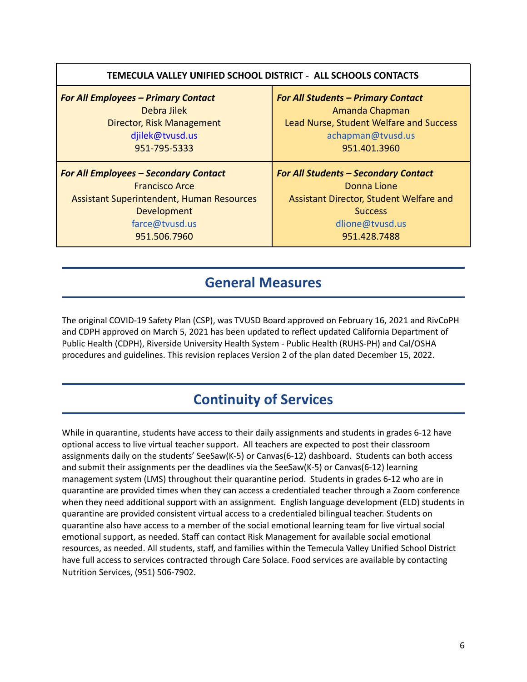| <b>For All Students - Primary Contact</b><br>Amanda Chapman<br><b>Lead Nurse, Student Welfare and Success</b><br>achapman@tvusd.us<br>951.401.3960         |
|------------------------------------------------------------------------------------------------------------------------------------------------------------|
| <b>For All Students - Secondary Contact</b><br>Donna Lione<br>Assistant Director, Student Welfare and<br><b>Success</b><br>dlione@tvusd.us<br>951.428.7488 |
|                                                                                                                                                            |

## **General Measures**

The original COVID-19 Safety Plan (CSP), was TVUSD Board approved on February 16, 2021 and RivCoPH and CDPH approved on March 5, 2021 has been updated to reflect updated California Department of Public Health (CDPH), Riverside University Health System - Public Health (RUHS-PH) and Cal/OSHA procedures and guidelines. This revision replaces Version 2 of the plan dated December 15, 2022.

# **Continuity of Services**

While in quarantine, students have access to their daily assignments and students in grades 6-12 have optional access to live virtual teacher support. All teachers are expected to post their classroom assignments daily on the students' SeeSaw(K-5) or Canvas(6-12) dashboard. Students can both access and submit their assignments per the deadlines via the SeeSaw(K-5) or Canvas(6-12) learning management system (LMS) throughout their quarantine period. Students in grades 6-12 who are in quarantine are provided times when they can access a credentialed teacher through a Zoom conference when they need additional support with an assignment. English language development (ELD) students in quarantine are provided consistent virtual access to a credentialed bilingual teacher. Students on quarantine also have access to a member of the social emotional learning team for live virtual social emotional support, as needed. Staff can contact Risk Management for available social emotional resources, as needed. All students, staff, and families within the Temecula Valley Unified School District have full access to services contracted through Care Solace. Food services are available by contacting Nutrition Services, (951) 506-7902.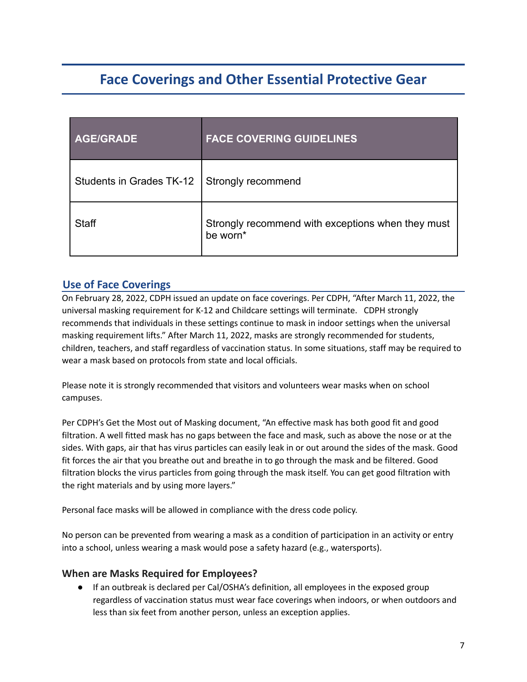# **Face Coverings and Other Essential Protective Gear**

| <b>AGE/GRADE</b>         | <b>FACE COVERING GUIDELINES</b>                               |
|--------------------------|---------------------------------------------------------------|
| Students in Grades TK-12 | Strongly recommend                                            |
| <b>Staff</b>             | Strongly recommend with exceptions when they must<br>be worn* |

## **Use of Face Coverings**

On February 28, 2022, CDPH issued an update on face coverings. Per CDPH, "After March 11, 2022, the universal masking requirement for K-12 and Childcare settings will terminate. CDPH strongly recommends that individuals in these settings continue to mask in indoor settings when the universal masking requirement lifts." After March 11, 2022, masks are strongly recommended for students, children, teachers, and staff regardless of vaccination status. In some situations, staff may be required to wear a mask based on protocols from state and local officials.

Please note it is strongly recommended that visitors and volunteers wear masks when on school campuses.

Per CDPH's Get the Most out of Masking document, "An effective mask has both good fit and good filtration. A well fitted mask has no gaps between the face and mask, such as above the nose or at the sides. With gaps, air that has virus particles can easily leak in or out around the sides of the mask. Good fit forces the air that you breathe out and breathe in to go through the mask and be filtered. Good filtration blocks the virus particles from going through the mask itself. You can get good filtration with the right materials and by using more layers."

Personal face masks will be allowed in compliance with the dress code policy.

No person can be prevented from wearing a mask as a condition of participation in an activity or entry into a school, unless wearing a mask would pose a safety hazard (e.g., watersports).

#### **When are Masks Required for Employees?**

● If an outbreak is declared per Cal/OSHA's definition, all employees in the exposed group regardless of vaccination status must wear face coverings when indoors, or when outdoors and less than six feet from another person, unless an exception applies.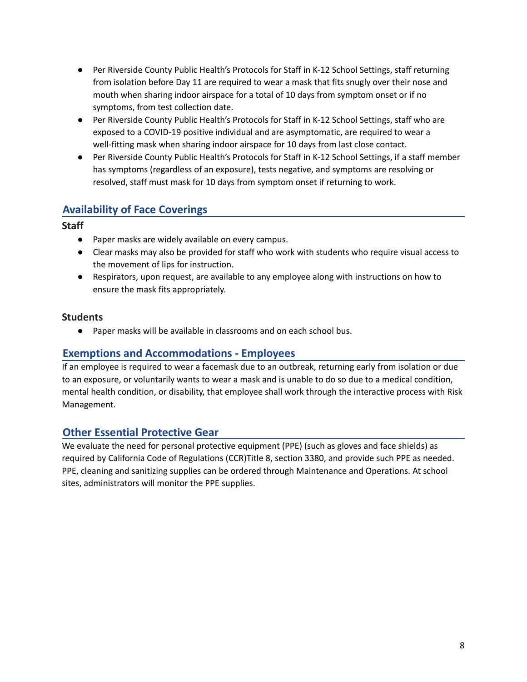- Per Riverside County Public Health's Protocols for Staff in K-12 School Settings, staff returning from isolation before Day 11 are required to wear a mask that fits snugly over their nose and mouth when sharing indoor airspace for a total of 10 days from symptom onset or if no symptoms, from test collection date.
- Per Riverside County Public Health's Protocols for Staff in K-12 School Settings, staff who are exposed to a COVID-19 positive individual and are asymptomatic, are required to wear a well-fitting mask when sharing indoor airspace for 10 days from last close contact.
- Per Riverside County Public Health's Protocols for Staff in K-12 School Settings, if a staff member has symptoms (regardless of an exposure), tests negative, and symptoms are resolving or resolved, staff must mask for 10 days from symptom onset if returning to work.

## **Availability of Face Coverings**

#### **Staff**

- Paper masks are widely available on every campus.
- Clear masks may also be provided for staff who work with students who require visual access to the movement of lips for instruction.
- Respirators, upon request, are available to any employee along with instructions on how to ensure the mask fits appropriately.

#### **Students**

● Paper masks will be available in classrooms and on each school bus.

#### **Exemptions and Accommodations - Employees**

If an employee is required to wear a facemask due to an outbreak, returning early from isolation or due to an exposure, or voluntarily wants to wear a mask and is unable to do so due to a medical condition, mental health condition, or disability, that employee shall work through the interactive process with Risk Management.

#### **Other Essential Protective Gear**

We evaluate the need for personal protective equipment (PPE) (such as gloves and face shields) as required by California Code of Regulations (CCR)Title 8, section 3380, and provide such PPE as needed. PPE, cleaning and sanitizing supplies can be ordered through Maintenance and Operations. At school sites, administrators will monitor the PPE supplies.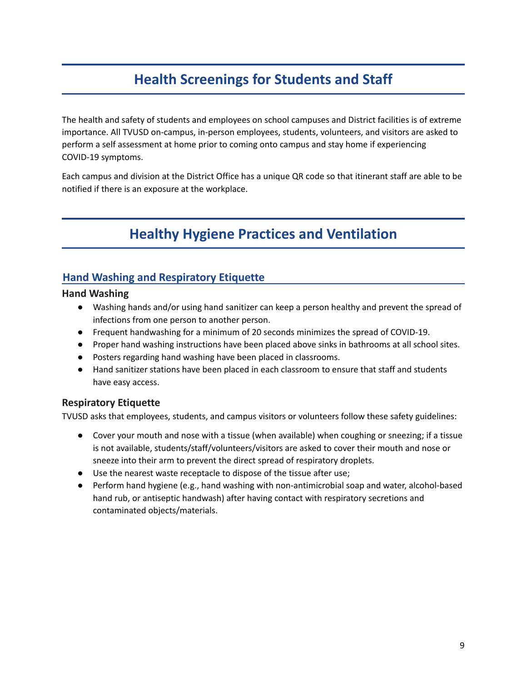# **Health Screenings for Students and Staff**

The health and safety of students and employees on school campuses and District facilities is of extreme importance. All TVUSD on-campus, in-person employees, students, volunteers, and visitors are asked to perform a self assessment at home prior to coming onto campus and stay home if experiencing COVID-19 symptoms.

Each campus and division at the District Office has a unique QR code so that itinerant staff are able to be notified if there is an exposure at the workplace.

# **Healthy Hygiene Practices and Ventilation**

## **Hand Washing and Respiratory Etiquette**

#### **Hand Washing**

- Washing hands and/or using hand sanitizer can keep a person healthy and prevent the spread of infections from one person to another person.
- Frequent handwashing for a minimum of 20 seconds minimizes the spread of COVID-19.
- Proper hand washing instructions have been placed above sinks in bathrooms at all school sites.
- Posters regarding hand washing have been placed in classrooms.
- Hand sanitizer stations have been placed in each classroom to ensure that staff and students have easy access.

#### **Respiratory Etiquette**

TVUSD asks that employees, students, and campus visitors or volunteers follow these safety guidelines:

- Cover your mouth and nose with a tissue (when available) when coughing or sneezing; if a tissue is not available, students/staff/volunteers/visitors are asked to cover their mouth and nose or sneeze into their arm to prevent the direct spread of respiratory droplets.
- Use the nearest waste receptacle to dispose of the tissue after use;
- Perform hand hygiene (e.g., hand washing with non-antimicrobial soap and water, alcohol-based hand rub, or antiseptic handwash) after having contact with respiratory secretions and contaminated objects/materials.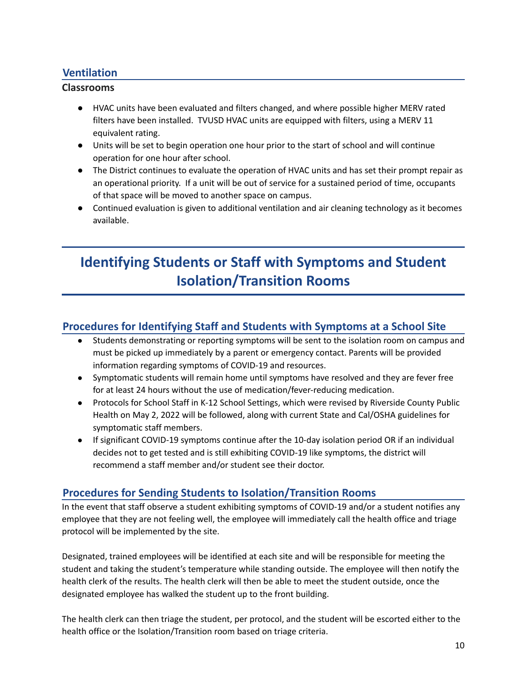## **Ventilation**

#### **Classrooms**

- HVAC units have been evaluated and filters changed, and where possible higher MERV rated filters have been installed. TVUSD HVAC units are equipped with filters, using a MERV 11 equivalent rating.
- Units will be set to begin operation one hour prior to the start of school and will continue operation for one hour after school.
- The District continues to evaluate the operation of HVAC units and has set their prompt repair as an operational priority. If a unit will be out of service for a sustained period of time, occupants of that space will be moved to another space on campus.
- Continued evaluation is given to additional ventilation and air cleaning technology as it becomes available.

# **Identifying Students or Staff with Symptoms and Student Isolation/Transition Rooms**

## **Procedures for Identifying Staff and Students with Symptoms at a School Site**

- Students demonstrating or reporting symptoms will be sent to the isolation room on campus and must be picked up immediately by a parent or emergency contact. Parents will be provided information regarding symptoms of COVID-19 and resources.
- Symptomatic students will remain home until symptoms have resolved and they are fever free for at least 24 hours without the use of medication/fever-reducing medication.
- Protocols for School Staff in K-12 School Settings, which were revised by Riverside County Public Health on May 2, 2022 will be followed, along with current State and Cal/OSHA guidelines for symptomatic staff members.
- If significant COVID-19 symptoms continue after the 10-day isolation period OR if an individual decides not to get tested and is still exhibiting COVID-19 like symptoms, the district will recommend a staff member and/or student see their doctor.

## **Procedures for Sending Students to Isolation/Transition Rooms**

In the event that staff observe a student exhibiting symptoms of COVID-19 and/or a student notifies any employee that they are not feeling well, the employee will immediately call the health office and triage protocol will be implemented by the site.

Designated, trained employees will be identified at each site and will be responsible for meeting the student and taking the student's temperature while standing outside. The employee will then notify the health clerk of the results. The health clerk will then be able to meet the student outside, once the designated employee has walked the student up to the front building.

The health clerk can then triage the student, per protocol, and the student will be escorted either to the health office or the Isolation/Transition room based on triage criteria.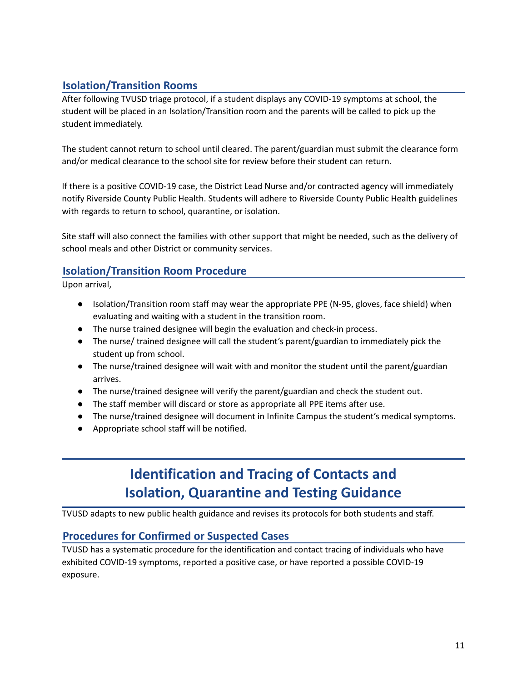## **Isolation/Transition Rooms**

After following TVUSD triage protocol, if a student displays any COVID-19 symptoms at school, the student will be placed in an Isolation/Transition room and the parents will be called to pick up the student immediately.

The student cannot return to school until cleared. The parent/guardian must submit the clearance form and/or medical clearance to the school site for review before their student can return.

If there is a positive COVID-19 case, the District Lead Nurse and/or contracted agency will immediately notify Riverside County Public Health. Students will adhere to Riverside County Public Health guidelines with regards to return to school, quarantine, or isolation.

Site staff will also connect the families with other support that might be needed, such as the delivery of school meals and other District or community services.

## **Isolation/Transition Room Procedure**

Upon arrival,

- Isolation/Transition room staff may wear the appropriate PPE (N-95, gloves, face shield) when evaluating and waiting with a student in the transition room.
- The nurse trained designee will begin the evaluation and check-in process.
- The nurse/ trained designee will call the student's parent/guardian to immediately pick the student up from school.
- The nurse/trained designee will wait with and monitor the student until the parent/guardian arrives.
- The nurse/trained designee will verify the parent/guardian and check the student out.
- The staff member will discard or store as appropriate all PPE items after use.
- The nurse/trained designee will document in Infinite Campus the student's medical symptoms.
- Appropriate school staff will be notified.

# **Identification and Tracing of Contacts and Isolation, Quarantine and Testing Guidance**

TVUSD adapts to new public health guidance and revises its protocols for both students and staff.

## **Procedures for Confirmed or Suspected Cases**

TVUSD has a systematic procedure for the identification and contact tracing of individuals who have exhibited COVID-19 symptoms, reported a positive case, or have reported a possible COVID-19 exposure.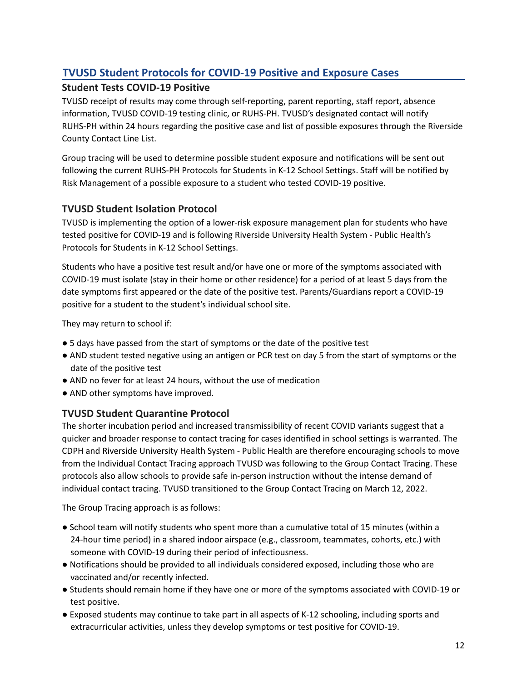## **TVUSD Student Protocols for COVID-19 Positive and Exposure Cases**

## **Student Tests COVID-19 Positive**

TVUSD receipt of results may come through self-reporting, parent reporting, staff report, absence information, TVUSD COVID-19 testing clinic, or RUHS-PH. TVUSD's designated contact will notify RUHS-PH within 24 hours regarding the positive case and list of possible exposures through the Riverside County Contact Line List.

Group tracing will be used to determine possible student exposure and notifications will be sent out following the current RUHS-PH Protocols for Students in K-12 School Settings. Staff will be notified by Risk Management of a possible exposure to a student who tested COVID-19 positive.

## **TVUSD Student Isolation Protocol**

TVUSD is implementing the option of a lower-risk exposure management plan for students who have tested positive for COVID-19 and is following Riverside University Health System - Public Health's Protocols for Students in K-12 School Settings.

Students who have a positive test result and/or have one or more of the symptoms associated with COVID-19 must isolate (stay in their home or other residence) for a period of at least 5 days from the date symptoms first appeared or the date of the positive test. Parents/Guardians report a COVID-19 positive for a student to the student's individual school site.

They may return to school if:

- 5 days have passed from the start of symptoms or the date of the positive test
- AND student tested negative using an antigen or PCR test on day 5 from the start of symptoms or the date of the positive test
- AND no fever for at least 24 hours, without the use of medication
- AND other symptoms have improved.

## **TVUSD Student Quarantine Protocol**

The shorter incubation period and increased transmissibility of recent COVID variants suggest that a quicker and broader response to contact tracing for cases identified in school settings is warranted. The CDPH and Riverside University Health System - Public Health are therefore encouraging schools to move from the Individual Contact Tracing approach TVUSD was following to the Group Contact Tracing. These protocols also allow schools to provide safe in-person instruction without the intense demand of individual contact tracing. TVUSD transitioned to the Group Contact Tracing on March 12, 2022.

The Group Tracing approach is as follows:

- School team will notify students who spent more than a cumulative total of 15 minutes (within a 24-hour time period) in a shared indoor airspace (e.g., classroom, teammates, cohorts, etc.) with someone with COVID-19 during their period of infectiousness.
- Notifications should be provided to all individuals considered exposed, including those who are vaccinated and/or recently infected.
- Students should remain home if they have one or more of the symptoms associated with COVID-19 or test positive.
- Exposed students may continue to take part in all aspects of K-12 schooling, including sports and extracurricular activities, unless they develop symptoms or test positive for COVID-19.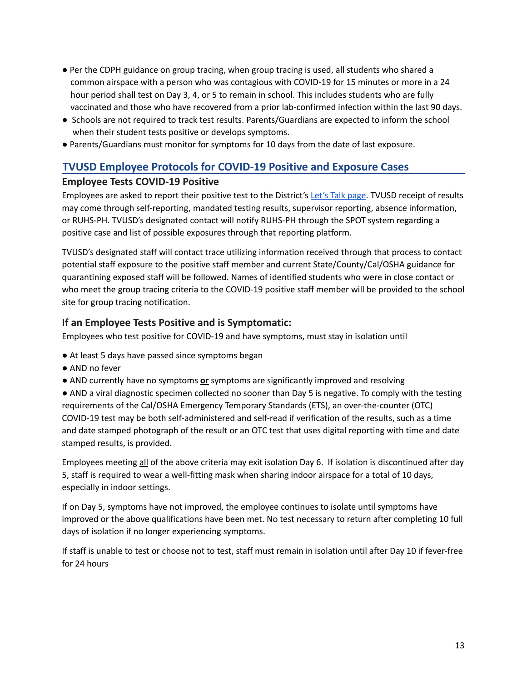- Per the CDPH guidance on group tracing, when group tracing is used, all students who shared a common airspace with a person who was contagious with COVID-19 for 15 minutes or more in a 24 hour period shall test on Day 3, 4, or 5 to remain in school. This includes students who are fully vaccinated and those who have recovered from a prior lab-confirmed infection within the last 90 days.
- Schools are not required to track test results. Parents/Guardians are expected to inform the school when their student tests positive or develops symptoms.
- Parents/Guardians must monitor for symptoms for 10 days from the date of last exposure.

## **TVUSD Employee Protocols for COVID-19 Positive and Exposure Cases**

#### **Employee Tests COVID-19 Positive**

Employees are asked to report their positive test to the District's Let's Talk [page](https://www.tvusd.k12.ca.us/Page/28287). TVUSD receipt of results may come through self-reporting, mandated testing results, supervisor reporting, absence information, or RUHS-PH. TVUSD's designated contact will notify RUHS-PH through the SPOT system regarding a positive case and list of possible exposures through that reporting platform.

TVUSD's designated staff will contact trace utilizing information received through that process to contact potential staff exposure to the positive staff member and current State/County/Cal/OSHA guidance for quarantining exposed staff will be followed. Names of identified students who were in close contact or who meet the group tracing criteria to the COVID-19 positive staff member will be provided to the school site for group tracing notification.

#### **If an Employee Tests Positive and is Symptomatic:**

Employees who test positive for COVID-19 and have symptoms, must stay in isolation until

- At least 5 days have passed since symptoms began
- AND no fever
- AND currently have no symptoms **or** symptoms are significantly improved and resolving

● AND a viral diagnostic specimen collected no sooner than Day 5 is negative. To comply with the testing requirements of the Cal/OSHA Emergency Temporary Standards (ETS), an over-the-counter (OTC) COVID-19 test may be both self-administered and self-read if verification of the results, such as a time and date stamped photograph of the result or an OTC test that uses digital reporting with time and date stamped results, is provided.

Employees meeting all of the above criteria may exit isolation Day 6. If isolation is discontinued after day 5, staff is required to wear a well-fitting mask when sharing indoor airspace for a total of 10 days, especially in indoor settings.

If on Day 5, symptoms have not improved, the employee continues to isolate until symptoms have improved or the above qualifications have been met. No test necessary to return after completing 10 full days of isolation if no longer experiencing symptoms.

If staff is unable to test or choose not to test, staff must remain in isolation until after Day 10 if fever-free for 24 hours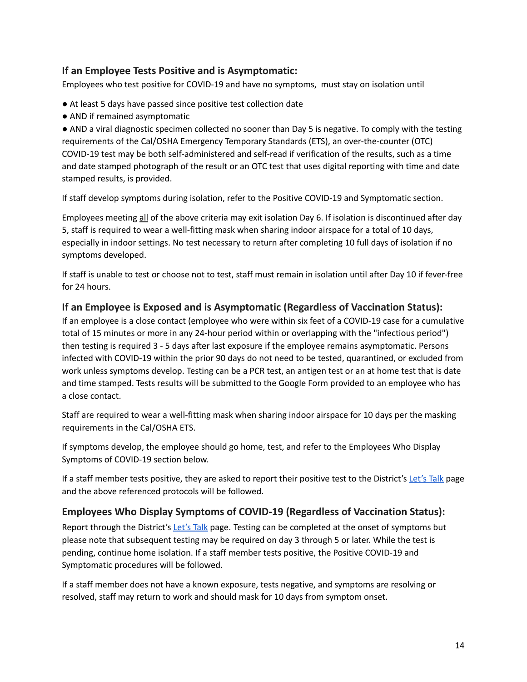#### **If an Employee Tests Positive and is Asymptomatic:**

Employees who test positive for COVID-19 and have no symptoms, must stay on isolation until

- At least 5 days have passed since positive test collection date
- AND if remained asymptomatic

● AND a viral diagnostic specimen collected no sooner than Day 5 is negative. To comply with the testing requirements of the Cal/OSHA Emergency Temporary Standards (ETS), an over-the-counter (OTC) COVID-19 test may be both self-administered and self-read if verification of the results, such as a time and date stamped photograph of the result or an OTC test that uses digital reporting with time and date stamped results, is provided.

If staff develop symptoms during isolation, refer to the Positive COVID-19 and Symptomatic section.

Employees meeting all of the above criteria may exit isolation Day 6. If isolation is discontinued after day 5, staff is required to wear a well-fitting mask when sharing indoor airspace for a total of 10 days, especially in indoor settings. No test necessary to return after completing 10 full days of isolation if no symptoms developed.

If staff is unable to test or choose not to test, staff must remain in isolation until after Day 10 if fever-free for 24 hours.

#### **If an Employee is Exposed and is Asymptomatic (Regardless of Vaccination Status):**

If an employee is a close contact (employee who were within six feet of a COVID-19 case for a cumulative total of 15 minutes or more in any 24-hour period within or overlapping with the "infectious period") then testing is required 3 - 5 days after last exposure if the employee remains asymptomatic. Persons infected with COVID-19 within the prior 90 days do not need to be tested, quarantined, or excluded from work unless symptoms develop. Testing can be a PCR test, an antigen test or an at home test that is date and time stamped. Tests results will be submitted to the Google Form provided to an employee who has a close contact.

Staff are required to wear a well-fitting mask when sharing indoor airspace for 10 days per the masking requirements in the Cal/OSHA ETS.

If symptoms develop, the employee should go home, test, and refer to the Employees Who Display Symptoms of COVID-19 section below.

If a staff member tests positive, they are asked to report their positive test to the District's [Let's](https://www.tvusd.k12.ca.us/Page/28287) Talk page and the above referenced protocols will be followed.

#### **Employees Who Display Symptoms of COVID-19 (Regardless of Vaccination Status):**

Report through the District's [Let's](https://www.tvusd.k12.ca.us/Page/28287) Talk page. Testing can be completed at the onset of symptoms but please note that subsequent testing may be required on day 3 through 5 or later. While the test is pending, continue home isolation. If a staff member tests positive, the Positive COVID-19 and Symptomatic procedures will be followed.

If a staff member does not have a known exposure, tests negative, and symptoms are resolving or resolved, staff may return to work and should mask for 10 days from symptom onset.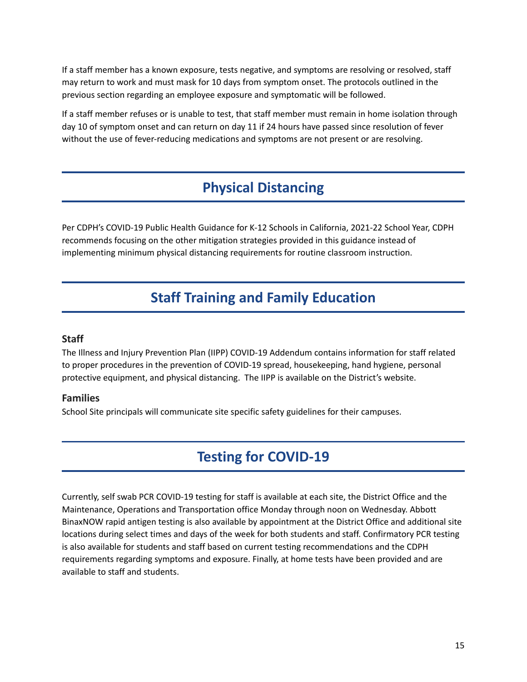If a staff member has a known exposure, tests negative, and symptoms are resolving or resolved, staff may return to work and must mask for 10 days from symptom onset. The protocols outlined in the previous section regarding an employee exposure and symptomatic will be followed.

If a staff member refuses or is unable to test, that staff member must remain in home isolation through day 10 of symptom onset and can return on day 11 if 24 hours have passed since resolution of fever without the use of fever-reducing medications and symptoms are not present or are resolving.

## **Physical Distancing**

Per CDPH's COVID-19 Public Health Guidance for K-12 Schools in California, 2021-22 School Year, CDPH recommends focusing on the other mitigation strategies provided in this guidance instead of implementing minimum physical distancing requirements for routine classroom instruction.

# **Staff Training and Family Education**

#### <span id="page-15-0"></span>**Staff**

The Illness and Injury Prevention Plan (IIPP) COVID-19 Addendum contains information for staff related to proper procedures in the prevention of COVID-19 spread, housekeeping, hand hygiene, personal protective equipment, and physical distancing. The IIPP is available on the District's website.

#### <span id="page-15-1"></span>**Families**

School Site principals will communicate site specific safety guidelines for their campuses.

# **Testing for COVID-19**

Currently, self swab PCR COVID-19 testing for staff is available at each site, the District Office and the Maintenance, Operations and Transportation office Monday through noon on Wednesday. Abbott BinaxNOW rapid antigen testing is also available by appointment at the District Office and additional site locations during select times and days of the week for both students and staff. Confirmatory PCR testing is also available for students and staff based on current testing recommendations and the CDPH requirements regarding symptoms and exposure. Finally, at home tests have been provided and are available to staff and students.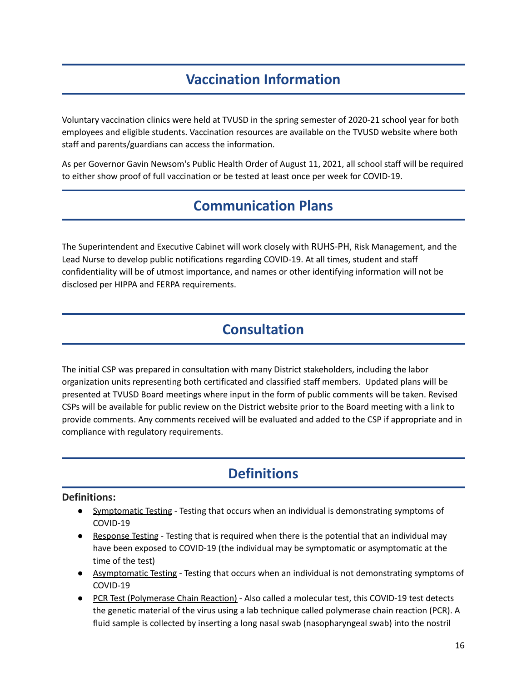# **Vaccination Information**

Voluntary vaccination clinics were held at TVUSD in the spring semester of 2020-21 school year for both employees and eligible students. Vaccination resources are available on the TVUSD website where both staff and parents/guardians can access the information.

As per Governor Gavin Newsom's Public Health Order of August 11, 2021, all school staff will be required to either show proof of full vaccination or be tested at least once per week for COVID-19.

# **Communication Plans**

The Superintendent and Executive Cabinet will work closely with RUHS-PH, Risk Management, and the Lead Nurse to develop public notifications regarding COVID-19. At all times, student and staff confidentiality will be of utmost importance, and names or other identifying information will not be disclosed per HIPPA and FERPA requirements.

# **Consultation**

The initial CSP was prepared in consultation with many District stakeholders, including the labor organization units representing both certificated and classified staff members. Updated plans will be presented at TVUSD Board meetings where input in the form of public comments will be taken. Revised CSPs will be available for public review on the District website prior to the Board meeting with a link to provide comments. Any comments received will be evaluated and added to the CSP if appropriate and in compliance with regulatory requirements.

# **Definitions**

#### **Definitions:**

- Symptomatic Testing Testing that occurs when an individual is demonstrating symptoms of COVID-19
- Response Testing Testing that is required when there is the potential that an individual may have been exposed to COVID-19 (the individual may be symptomatic or asymptomatic at the time of the test)
- Asymptomatic Testing Testing that occurs when an individual is not demonstrating symptoms of COVID-19
- PCR Test (Polymerase Chain Reaction) Also called a molecular test, this COVID-19 test detects the genetic material of the virus using a lab technique called polymerase chain reaction (PCR). A fluid sample is collected by inserting a long nasal swab (nasopharyngeal swab) into the nostril